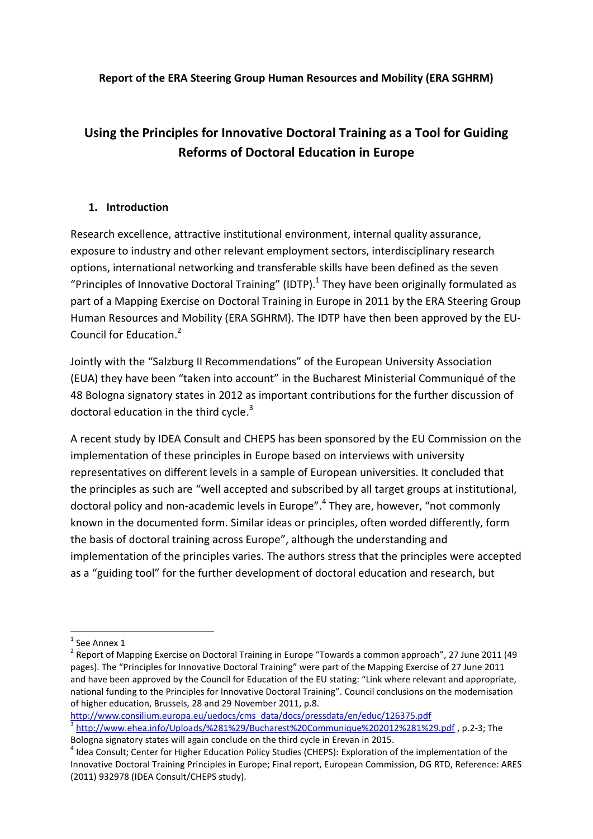**Report of the ERA Steering Group Human Resources and Mobility (ERA SGHRM)**

# **Using the Principles for Innovative Doctoral Training as a Tool for Guiding Reforms of Doctoral Education in Europe**

#### **1. Introduction**

Research excellence, attractive institutional environment, internal quality assurance, exposure to industry and other relevant employment sectors, interdisciplinary research options, international networking and transferable skills have been defined as the seven "Principles of Innovative Doctoral Training" (IDTP). $^1$  They have been originally formulated as part of a Mapping Exercise on Doctoral Training in Europe in 2011 by the ERA Steering Group Human Resources and Mobility (ERA SGHRM). The IDTP have then been approved by the EU-Council for Education. 2

Jointly with the "Salzburg II Recommendations" of the European University Association (EUA) they have been "taken into account" in the Bucharest Ministerial Communiqué of the 48 Bologna signatory states in 2012 as important contributions for the further discussion of doctoral education in the third cycle.<sup>3</sup>

A recent study by IDEA Consult and CHEPS has been sponsored by the EU Commission on the implementation of these principles in Europe based on interviews with university representatives on different levels in a sample of European universities. It concluded that the principles as such are "well accepted and subscribed by all target groups at institutional, doctoral policy and non-academic levels in Europe".<sup>4</sup> They are, however, "not commonly known in the documented form. Similar ideas or principles, often worded differently, form the basis of doctoral training across Europe", although the understanding and implementation of the principles varies. The authors stress that the principles were accepted as a "guiding tool" for the further development of doctoral education and research, but

 $\overline{a}$ 

 $<sup>1</sup>$  See Annex 1</sup>

<sup>&</sup>lt;sup>2</sup> Report of Mapping Exercise on Doctoral Training in Europe "Towards a common approach", 27 June 2011 (49 pages). The "Principles for Innovative Doctoral Training" were part of the Mapping Exercise of 27 June 2011 and have been approved by the Council for Education of the EU stating: "Link where relevant and appropriate, national funding to the Principles for Innovative Doctoral Training". Council conclusions on the modernisation of higher education, Brussels, 28 and 29 November 2011, p.8.

[http://www.consilium.europa.eu/uedocs/cms\\_data/docs/pressdata/en/educ/126375.pdf](http://www.consilium.europa.eu/uedocs/cms_data/docs/pressdata/en/educ/126375.pdf) <sup>3</sup> <http://www.ehea.info/Uploads/%281%29/Bucharest%20Communique%202012%281%29.pdf>, p.2-3; The Bologna signatory states will again conclude on the third cycle in Erevan in 2015.

<sup>&</sup>lt;sup>4</sup> Idea Consult; Center for Higher Education Policy Studies (CHEPS): Exploration of the implementation of the Innovative Doctoral Training Principles in Europe; Final report, European Commission, DG RTD, Reference: ARES (2011) 932978 (IDEA Consult/CHEPS study).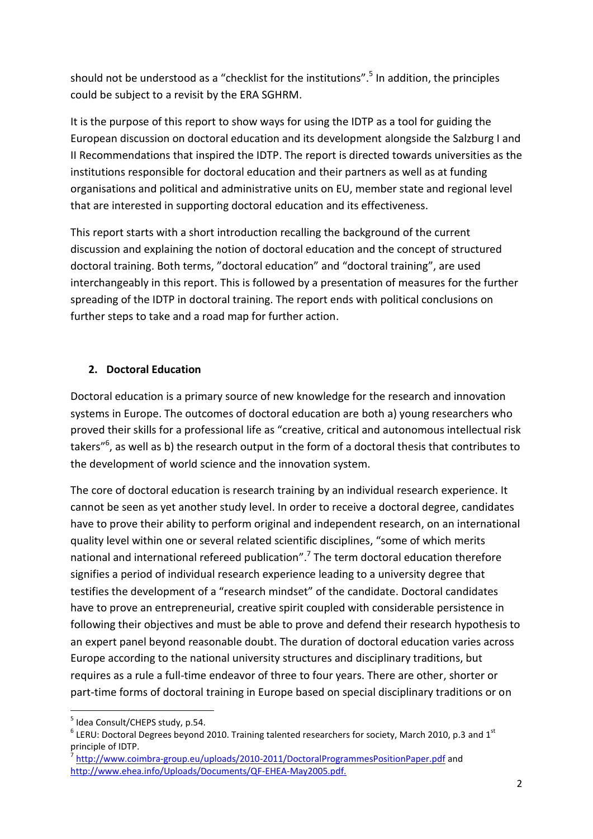should not be understood as a "checklist for the institutions". 5 In addition, the principles could be subject to a revisit by the ERA SGHRM.

It is the purpose of this report to show ways for using the IDTP as a tool for guiding the European discussion on doctoral education and its development alongside the Salzburg I and II Recommendations that inspired the IDTP. The report is directed towards universities as the institutions responsible for doctoral education and their partners as well as at funding organisations and political and administrative units on EU, member state and regional level that are interested in supporting doctoral education and its effectiveness.

This report starts with a short introduction recalling the background of the current discussion and explaining the notion of doctoral education and the concept of structured doctoral training. Both terms, "doctoral education" and "doctoral training", are used interchangeably in this report. This is followed by a presentation of measures for the further spreading of the IDTP in doctoral training. The report ends with political conclusions on further steps to take and a road map for further action.

#### **2. Doctoral Education**

Doctoral education is a primary source of new knowledge for the research and innovation systems in Europe. The outcomes of doctoral education are both a) young researchers who proved their skills for a professional life as "creative, critical and autonomous intellectual risk takers"<sup>6</sup>, as well as b) the research output in the form of a doctoral thesis that contributes to the development of world science and the innovation system.

The core of doctoral education is research training by an individual research experience. It cannot be seen as yet another study level. In order to receive a doctoral degree, candidates have to prove their ability to perform original and independent research, on an international quality level within one or several related scientific disciplines, "some of which merits national and international refereed publication".<sup>7</sup> The term doctoral education therefore signifies a period of individual research experience leading to a university degree that testifies the development of a "research mindset" of the candidate. Doctoral candidates have to prove an entrepreneurial, creative spirit coupled with considerable persistence in following their objectives and must be able to prove and defend their research hypothesis to an expert panel beyond reasonable doubt. The duration of doctoral education varies across Europe according to the national university structures and disciplinary traditions, but requires as a rule a full-time endeavor of three to four years. There are other, shorter or part-time forms of doctoral training in Europe based on special disciplinary traditions or on

**.** 

<sup>&</sup>lt;sup>5</sup> Idea Consult/CHEPS study, p.54.

 $^6$  LERU: Doctoral Degrees beyond 2010. Training talented researchers for society, March 2010, p.3 and 1<sup>st</sup> principle of IDTP.

<sup>&</sup>lt;sup>7</sup> <http://www.coimbra-group.eu/uploads/2010-2011/DoctoralProgrammesPositionPaper.pdf> and [http://www.ehea.info/Uploads/Documents/QF-EHEA-May2005.pdf.](http://www.ehea.info/Uploads/Documents/QF-EHEA-May2005.pdf)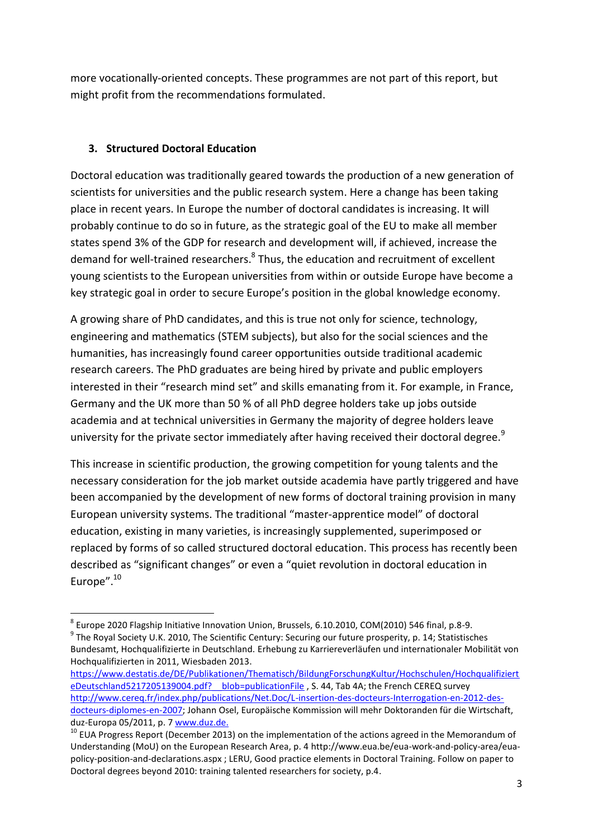more vocationally-oriented concepts. These programmes are not part of this report, but might profit from the recommendations formulated.

#### **3. Structured Doctoral Education**

1

Doctoral education was traditionally geared towards the production of a new generation of scientists for universities and the public research system. Here a change has been taking place in recent years. In Europe the number of doctoral candidates is increasing. It will probably continue to do so in future, as the strategic goal of the EU to make all member states spend 3% of the GDP for research and development will, if achieved, increase the demand for well-trained researchers.<sup>8</sup> Thus, the education and recruitment of excellent young scientists to the European universities from within or outside Europe have become a key strategic goal in order to secure Europe's position in the global knowledge economy.

A growing share of PhD candidates, and this is true not only for science, technology, engineering and mathematics (STEM subjects), but also for the social sciences and the humanities, has increasingly found career opportunities outside traditional academic research careers. The PhD graduates are being hired by private and public employers interested in their "research mind set" and skills emanating from it. For example, in France, Germany and the UK more than 50 % of all PhD degree holders take up jobs outside academia and at technical universities in Germany the majority of degree holders leave university for the private sector immediately after having received their doctoral degree.<sup>9</sup>

This increase in scientific production, the growing competition for young talents and the necessary consideration for the job market outside academia have partly triggered and have been accompanied by the development of new forms of doctoral training provision in many European university systems. The traditional "master-apprentice model" of doctoral education, existing in many varieties, is increasingly supplemented, superimposed or replaced by forms of so called structured doctoral education. This process has recently been described as "significant changes" or even a "quiet revolution in doctoral education in Europe".<sup>10</sup>

<sup>&</sup>lt;sup>8</sup> Europe 2020 Flagship Initiative Innovation Union, Brussels, 6.10.2010, COM(2010) 546 final, p.8-9. <sup>9</sup> The Royal Society U.K. 2010, The Scientific Century: Securing our future prosperity, p. 14; Statistisches Bundesamt, Hochqualifizierte in Deutschland. Erhebung zu Karriereverläufen und internationaler Mobilität von Hochqualifizierten in 2011, Wiesbaden 2013.

[https://www.destatis.de/DE/Publikationen/Thematisch/BildungForschungKultur/Hochschulen/Hochqualifiziert](https://www.destatis.de/DE/Publikationen/Thematisch/BildungForschungKultur/Hochschulen/HochqualifizierteDeutschland5217205139004.pdf?__blob=publicationFile) eDeutschland5217205139004.pdf? blob=publicationFile , S. 44, Tab 4A; the French CEREQ survey [http://www.cereq.fr/index.php/publications/Net.Doc/L-insertion-des-docteurs-Interrogation-en-2012-des](http://www.cereq.fr/index.php/publications/Net.Doc/L-insertion-des-docteurs-Interrogation-en-2012-des-docteurs-diplomes-en-2007)[docteurs-diplomes-en-2007;](http://www.cereq.fr/index.php/publications/Net.Doc/L-insertion-des-docteurs-Interrogation-en-2012-des-docteurs-diplomes-en-2007) Johann Osel, Europäische Kommission will mehr Doktoranden für die Wirtschaft, duz-Europa 05/2011, p. 7 [www.duz.de.](http://www.duz.de/)

<sup>&</sup>lt;sup>10</sup> EUA Progress Report (December 2013) on the implementation of the actions agreed in the Memorandum of Understanding (MoU) on the European Research Area, p. 4 http://www.eua.be/eua-work-and-policy-area/euapolicy-position-and-declarations.aspx ; LERU, Good practice elements in Doctoral Training. Follow on paper to Doctoral degrees beyond 2010: training talented researchers for society, p.4.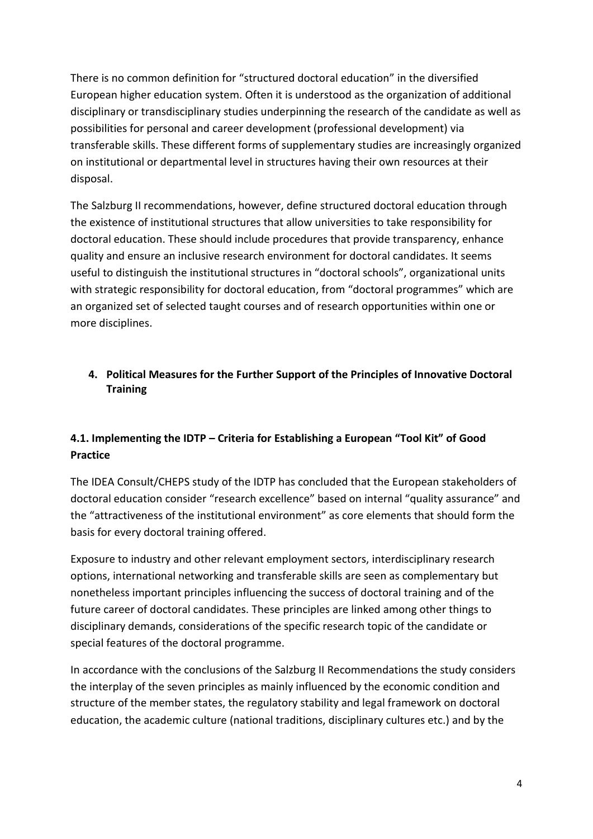There is no common definition for "structured doctoral education" in the diversified European higher education system. Often it is understood as the organization of additional disciplinary or transdisciplinary studies underpinning the research of the candidate as well as possibilities for personal and career development (professional development) via transferable skills. These different forms of supplementary studies are increasingly organized on institutional or departmental level in structures having their own resources at their disposal.

The Salzburg II recommendations, however, define structured doctoral education through the existence of institutional structures that allow universities to take responsibility for doctoral education. These should include procedures that provide transparency, enhance quality and ensure an inclusive research environment for doctoral candidates. It seems useful to distinguish the institutional structures in "doctoral schools", organizational units with strategic responsibility for doctoral education, from "doctoral programmes" which are an organized set of selected taught courses and of research opportunities within one or more disciplines.

## **4. Political Measures for the Further Support of the Principles of Innovative Doctoral Training**

## **4.1. Implementing the IDTP – Criteria for Establishing a European "Tool Kit" of Good Practice**

The IDEA Consult/CHEPS study of the IDTP has concluded that the European stakeholders of doctoral education consider "research excellence" based on internal "quality assurance" and the "attractiveness of the institutional environment" as core elements that should form the basis for every doctoral training offered.

Exposure to industry and other relevant employment sectors, interdisciplinary research options, international networking and transferable skills are seen as complementary but nonetheless important principles influencing the success of doctoral training and of the future career of doctoral candidates. These principles are linked among other things to disciplinary demands, considerations of the specific research topic of the candidate or special features of the doctoral programme.

In accordance with the conclusions of the Salzburg II Recommendations the study considers the interplay of the seven principles as mainly influenced by the economic condition and structure of the member states, the regulatory stability and legal framework on doctoral education, the academic culture (national traditions, disciplinary cultures etc.) and by the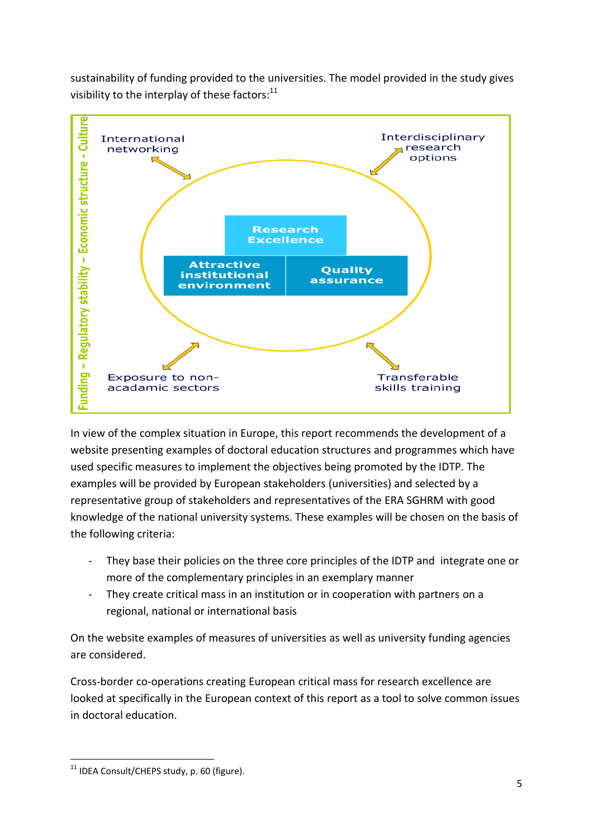sustainability of funding provided to the universities. The model provided in the study gives visibility to the interplay of these factors: $^{11}$ 



In view of the complex situation in Europe, this report recommends the development of a website presenting examples of doctoral education structures and programmes which have used specific measures to implement the objectives being promoted by the IDTP. The examples will be provided by European stakeholders (universities) and selected by a representative group of stakeholders and representatives of the ERA SGHRM with good knowledge of the national university systems. These examples will be chosen on the basis of the following criteria:

- They base their policies on the three core principles of the IDTP and integrate one or more of the complementary principles in an exemplary manner
- They create critical mass in an institution or in cooperation with partners on a regional, national or international basis

On the website examples of measures of universities as well as university funding agencies are considered.

Cross-border co-operations creating European critical mass for research excellence are looked at specifically in the European context of this report as a tool to solve common issues in doctoral education.

**<sup>.</sup>** <sup>11</sup> IDEA Consult/CHEPS study, p. 60 (figure).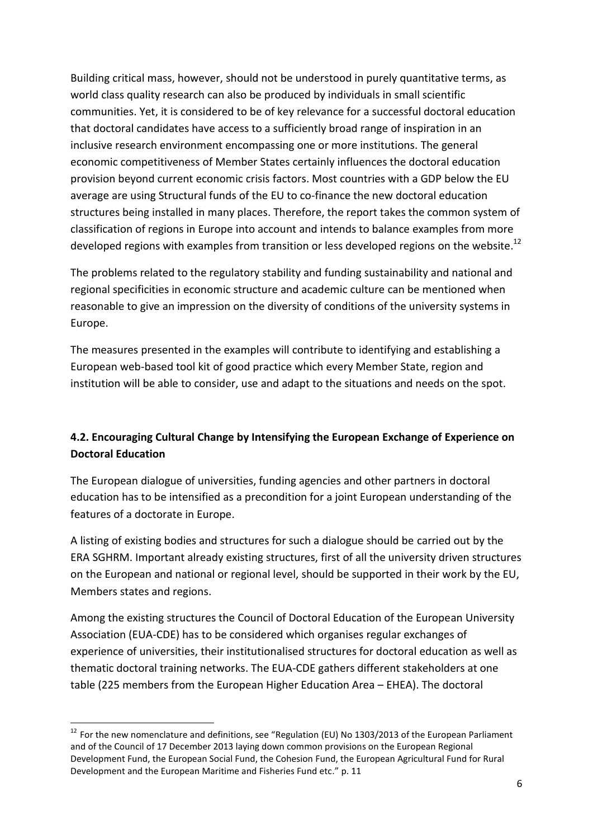Building critical mass, however, should not be understood in purely quantitative terms, as world class quality research can also be produced by individuals in small scientific communities. Yet, it is considered to be of key relevance for a successful doctoral education that doctoral candidates have access to a sufficiently broad range of inspiration in an inclusive research environment encompassing one or more institutions. The general economic competitiveness of Member States certainly influences the doctoral education provision beyond current economic crisis factors. Most countries with a GDP below the EU average are using Structural funds of the EU to co-finance the new doctoral education structures being installed in many places. Therefore, the report takes the common system of classification of regions in Europe into account and intends to balance examples from more developed regions with examples from transition or less developed regions on the website.<sup>12</sup>

The problems related to the regulatory stability and funding sustainability and national and regional specificities in economic structure and academic culture can be mentioned when reasonable to give an impression on the diversity of conditions of the university systems in Europe.

The measures presented in the examples will contribute to identifying and establishing a European web-based tool kit of good practice which every Member State, region and institution will be able to consider, use and adapt to the situations and needs on the spot.

# **4.2. Encouraging Cultural Change by Intensifying the European Exchange of Experience on Doctoral Education**

The European dialogue of universities, funding agencies and other partners in doctoral education has to be intensified as a precondition for a joint European understanding of the features of a doctorate in Europe.

A listing of existing bodies and structures for such a dialogue should be carried out by the ERA SGHRM. Important already existing structures, first of all the university driven structures on the European and national or regional level, should be supported in their work by the EU, Members states and regions.

Among the existing structures the Council of Doctoral Education of the European University Association (EUA-CDE) has to be considered which organises regular exchanges of experience of universities, their institutionalised structures for doctoral education as well as thematic doctoral training networks. The EUA-CDE gathers different stakeholders at one table (225 members from the European Higher Education Area – EHEA). The doctoral

**.** 

<sup>&</sup>lt;sup>12</sup> For the new nomenclature and definitions, see "Regulation (EU) No 1303/2013 of the European Parliament and of the Council of 17 December 2013 laying down common provisions on the European Regional Development Fund, the European Social Fund, the Cohesion Fund, the European Agricultural Fund for Rural Development and the European Maritime and Fisheries Fund etc." p. 11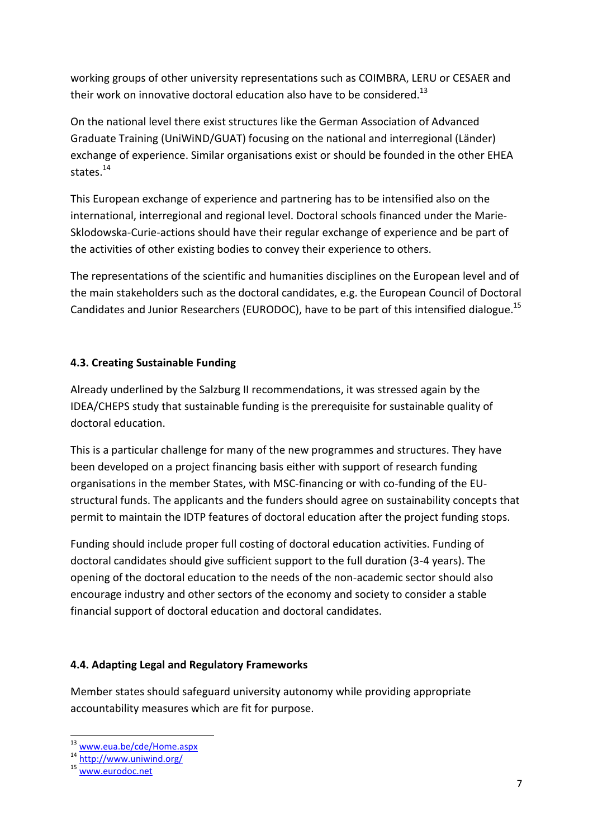working groups of other university representations such as COIMBRA, LERU or CESAER and their work on innovative doctoral education also have to be considered.<sup>13</sup>

On the national level there exist structures like the German Association of Advanced Graduate Training (UniWiND/GUAT) focusing on the national and interregional (Länder) exchange of experience. Similar organisations exist or should be founded in the other EHEA states.<sup>14</sup>

This European exchange of experience and partnering has to be intensified also on the international, interregional and regional level. Doctoral schools financed under the Marie-Sklodowska-Curie-actions should have their regular exchange of experience and be part of the activities of other existing bodies to convey their experience to others.

The representations of the scientific and humanities disciplines on the European level and of the main stakeholders such as the doctoral candidates, e.g. the European Council of Doctoral Candidates and Junior Researchers (EURODOC), have to be part of this intensified dialogue.<sup>15</sup>

## **4.3. Creating Sustainable Funding**

Already underlined by the Salzburg II recommendations, it was stressed again by the IDEA/CHEPS study that sustainable funding is the prerequisite for sustainable quality of doctoral education.

This is a particular challenge for many of the new programmes and structures. They have been developed on a project financing basis either with support of research funding organisations in the member States, with MSC-financing or with co-funding of the EUstructural funds. The applicants and the funders should agree on sustainability concepts that permit to maintain the IDTP features of doctoral education after the project funding stops.

Funding should include proper full costing of doctoral education activities. Funding of doctoral candidates should give sufficient support to the full duration (3-4 years). The opening of the doctoral education to the needs of the non-academic sector should also encourage industry and other sectors of the economy and society to consider a stable financial support of doctoral education and doctoral candidates.

#### **4.4. Adapting Legal and Regulatory Frameworks**

Member states should safeguard university autonomy while providing appropriate accountability measures which are fit for purpose.

**.** 

<sup>&</sup>lt;sup>13</sup> [www.eua.be/cde/Home.aspx](http://www.eua.be/cde/Home.aspx)

<sup>14</sup> <http://www.uniwind.org/>

 $15$  [www.eurodoc.net](http://www.eurodoc.net/)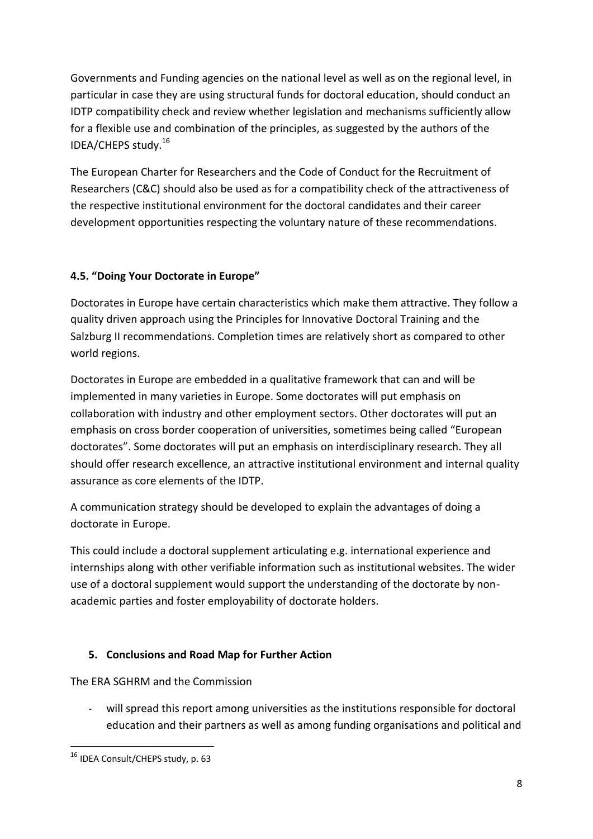Governments and Funding agencies on the national level as well as on the regional level, in particular in case they are using structural funds for doctoral education, should conduct an IDTP compatibility check and review whether legislation and mechanisms sufficiently allow for a flexible use and combination of the principles, as suggested by the authors of the IDEA/CHEPS study.<sup>16</sup>

The European Charter for Researchers and the Code of Conduct for the Recruitment of Researchers (C&C) should also be used as for a compatibility check of the attractiveness of the respective institutional environment for the doctoral candidates and their career development opportunities respecting the voluntary nature of these recommendations.

## **4.5. "Doing Your Doctorate in Europe"**

Doctorates in Europe have certain characteristics which make them attractive. They follow a quality driven approach using the Principles for Innovative Doctoral Training and the Salzburg II recommendations. Completion times are relatively short as compared to other world regions.

Doctorates in Europe are embedded in a qualitative framework that can and will be implemented in many varieties in Europe. Some doctorates will put emphasis on collaboration with industry and other employment sectors. Other doctorates will put an emphasis on cross border cooperation of universities, sometimes being called "European doctorates". Some doctorates will put an emphasis on interdisciplinary research. They all should offer research excellence, an attractive institutional environment and internal quality assurance as core elements of the IDTP.

A communication strategy should be developed to explain the advantages of doing a doctorate in Europe.

This could include a doctoral supplement articulating e.g. international experience and internships along with other verifiable information such as institutional websites. The wider use of a doctoral supplement would support the understanding of the doctorate by nonacademic parties and foster employability of doctorate holders.

# **5. Conclusions and Road Map for Further Action**

The ERA SGHRM and the Commission

will spread this report among universities as the institutions responsible for doctoral education and their partners as well as among funding organisations and political and

1

<sup>16</sup> IDEA Consult/CHEPS study, p. 63